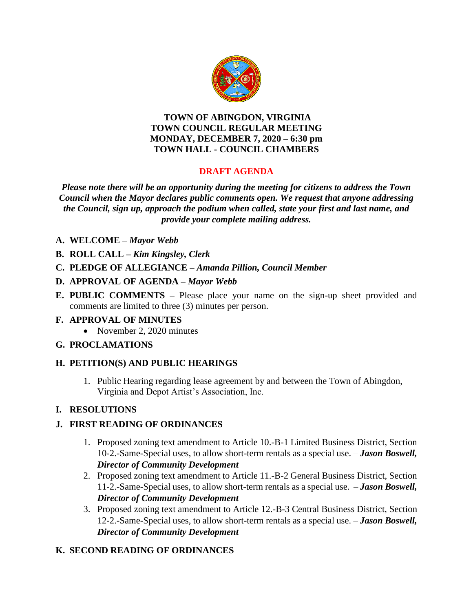

#### **TOWN OF ABINGDON, VIRGINIA TOWN COUNCIL REGULAR MEETING MONDAY, DECEMBER 7, 2020 – 6:30 pm TOWN HALL - COUNCIL CHAMBERS**

# **DRAFT AGENDA**

*Please note there will be an opportunity during the meeting for citizens to address the Town Council when the Mayor declares public comments open. We request that anyone addressing the Council, sign up, approach the podium when called, state your first and last name, and provide your complete mailing address.*

- **A. WELCOME –** *Mayor Webb*
- **B. ROLL CALL –** *Kim Kingsley, Clerk*
- **C. PLEDGE OF ALLEGIANCE –** *Amanda Pillion, Council Member*
- **D. APPROVAL OF AGENDA –** *Mayor Webb*
- **E. PUBLIC COMMENTS –** Please place your name on the sign-up sheet provided and comments are limited to three (3) minutes per person.

#### **F. APPROVAL OF MINUTES**

• November 2, 2020 minutes

## **G. PROCLAMATIONS**

## **H. PETITION(S) AND PUBLIC HEARINGS**

1. Public Hearing regarding lease agreement by and between the Town of Abingdon, Virginia and Depot Artist's Association, Inc.

## **I. RESOLUTIONS**

## **J. FIRST READING OF ORDINANCES**

- 1. Proposed zoning text amendment to Article 10.-B-1 Limited Business District, Section 10-2.-Same-Special uses, to allow short-term rentals as a special use. – *Jason Boswell, Director of Community Development*
- 2. Proposed zoning text amendment to Article 11.-B-2 General Business District, Section 11-2.-Same-Special uses, to allow short-term rentals as a special use. – *Jason Boswell, Director of Community Development*
- 3. Proposed zoning text amendment to Article 12.-B-3 Central Business District, Section 12-2.-Same-Special uses, to allow short-term rentals as a special use. – *Jason Boswell, Director of Community Development*

## **K. SECOND READING OF ORDINANCES**